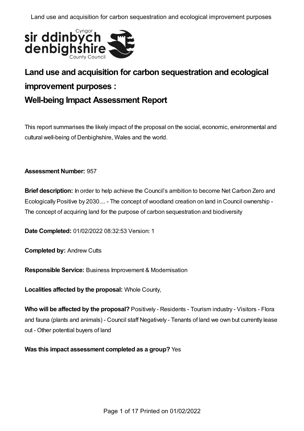

# **Land use and acquisition for carbon sequestration and ecological improvement purposes : Well-being Impact Assessment Report**

This report summarises the likely impact of the proposal on the social, economic, environmental and cultural well-being of Denbighshire, Wales and the world.

## **Assessment Number:** 957

**Brief description:** In order to help achieve the Council's ambition to become Net Carbon Zero and Ecologically Positive by 2030.... - The concept of woodland creation on land in Council ownership - The concept of acquiring land for the purpose of carbon sequestration and biodiversity

**Date Completed:** 01/02/2022 08:32:53 Version: 1

**Completed by:** Andrew Cutts

**Responsible Service:** Business Improvement & Modernisation

**Localities affected by the proposal:** Whole County,

**Who will be affected by the proposal?** Positively - Residents - Tourism industry - Visitors - Flora and fauna (plants and animals) - Council staff Negatively - Tenants of land we own but currently lease out - Other potential buyers of land

**Was this impact assessment completed as a group?** Yes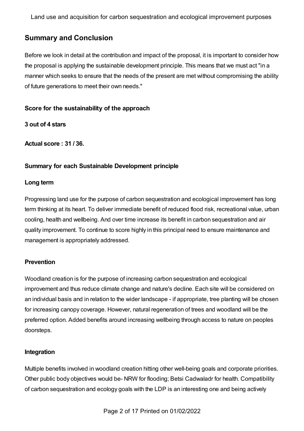# **Summary and Conclusion**

Before we look in detail at the contribution and impact of the proposal, it is important to consider how the proposal is applying the sustainable development principle. This means that we must act "in a manner which seeks to ensure that the needs of the present are met without compromising the ability of future generations to meet their own needs."

#### **Score for the sustainability of the approach**

**3 out of 4 stars**

**Actual score : 31 / 36.**

## **Summary for each Sustainable Development principle**

#### **Long term**

Progressing land use for the purpose of carbon sequestration and ecological improvement has long term thinking at its heart. To deliver immediate benefit of reduced flood risk, recreational value, urban cooling, health and wellbeing. And over time increase its benefit in carbon sequestration and air quality improvement. To continue to score highly in this principal need to ensure maintenance and management is appropriately addressed.

## **Prevention**

Woodland creation is for the purpose of increasing carbon sequestration and ecological improvement and thus reduce climate change and nature's decline. Each site will be considered on an individual basis and in relation to the wider landscape - if appropriate, tree planting will be chosen for increasing canopy coverage. However, natural regeneration of trees and woodland will be the preferred option. Added benefits around increasing wellbeing through access to nature on peoples doorsteps.

#### **Integration**

Multiple benefits involved in woodland creation hitting other well-being goals and corporate priorities. Other public body objectives would be- NRW for flooding; Betsi Cadwaladr for health. Compatibility of carbon sequestration and ecology goals with the LDP is an interesting one and being actively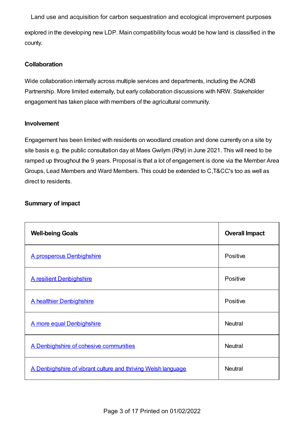explored in the developing new LDP. Main compatibility focus would be how land is classified in the county. Land use and acquisition for carbon sequestration and ecological improvement purposes

## **Collaboration**

Wide collaboration internally across multiple services and departments, including the AONB Partnership. More limited externally, but early collaboration discussions with NRW. Stakeholder engagement has taken place with members of the agricultural community.

## **Involvement**

Engagement has been limited with residents on woodland creation and done currently on a site by site basis e.g. the public consultation day at Maes Gwilym (Rhyl) in June 2021. This will need to be ramped up throughout the 9 years. Proposal is that a lot of engagement is done via the Member Area Groups, Lead Members and Ward Members. This could be extended to C,T&CC's too as well as direct to residents.

## **Summary of impact**

| <b>Well-being Goals</b>                                       | <b>Overall Impact</b> |
|---------------------------------------------------------------|-----------------------|
| A prosperous Denbighshire                                     | Positive              |
| <b>A resilient Denbighshire</b>                               | Positive              |
| A healthier Denbighshire                                      | Positive              |
| A more equal Denbighshire                                     | <b>Neutral</b>        |
| A Denbighshire of cohesive communities                        | <b>Neutral</b>        |
| A Denbighshire of vibrant culture and thriving Welsh language | <b>Neutral</b>        |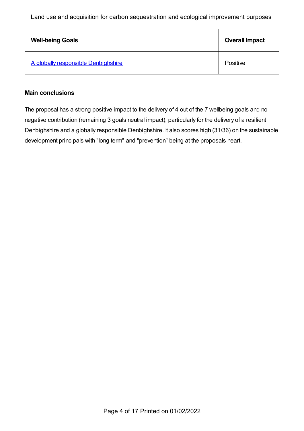| <b>Well-being Goals</b>             | <b>Overall Impact</b> |
|-------------------------------------|-----------------------|
| A globally responsible Denbighshire | Positive              |

#### **Main conclusions**

The proposal has a strong positive impact to the delivery of 4 out of the 7 wellbeing goals and no negative contribution (remaining 3 goals neutral impact), particularly for the delivery of a resilient Denbighshire and a globally responsible Denbighshire. It also scores high (31/36) on the sustainable development principals with "long term" and "prevention" being at the proposals heart.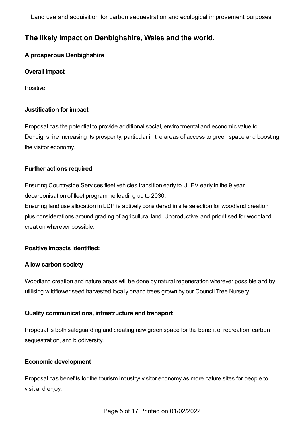# **The likely impact on Denbighshire, Wales and the world.**

## <span id="page-4-0"></span>**A prosperous Denbighshire**

## **Overall Impact**

**Positive** 

## **Justification for impact**

Proposal has the potential to provide additional social, environmental and economic value to Denbighshire increasing its prosperity, particular in the areas of access to green space and boosting the visitor economy.

## **Further actions required**

Ensuring Countryside Services fleet vehicles transition early to ULEV early in the 9 year decarbonisation of fleet programme leading up to 2030.

Ensuring land use allocation in LDP is actively considered in site selection for woodland creation plus considerations around grading of agricultural land. Unproductive land prioritised for woodland creation wherever possible.

## **Positive impacts identified:**

#### **Alow carbon society**

Woodland creation and nature areas will be done by natural regeneration wherever possible and by utilising wildflower seed harvested locally or/and trees grown by our Council Tree Nursery

#### **Quality communications, infrastructure and transport**

Proposal is both safeguarding and creating new green space for the benefit of recreation, carbon sequestration, and biodiversity.

#### **Economic development**

Proposal has benefits for the tourism industry/ visitor economy as more nature sites for people to visit and enjoy.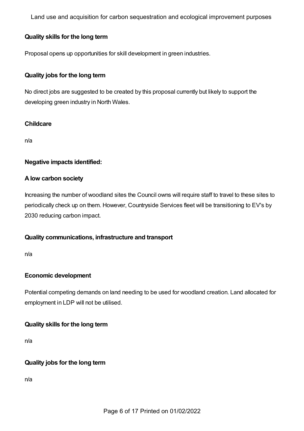## **Quality skills for the long term**

Proposal opens up opportunities for skill development in green industries.

## **Quality jobs for the long term**

No direct jobs are suggested to be created by this proposal currently but likely to support the developing green industry in North Wales.

## **Childcare**

n/a

#### **Negative impacts identified:**

#### **Alow carbon society**

Increasing the number of woodland sites the Council owns will require staff to travel to these sites to periodically check up on them. However, Countryside Services fleet will be transitioning to EV's by 2030 reducing carbon impact.

#### **Quality communications, infrastructure and transport**

n/a

#### **Economic development**

Potential competing demands on land needing to be used for woodland creation. Land allocated for employment in LDP will not be utilised.

#### **Quality skills for the long term**

n/a

## **Quality jobs for the long term**

n/a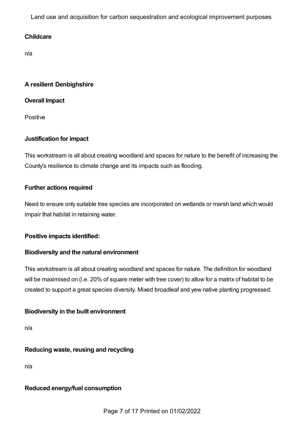## **Childcare**

n/a

## <span id="page-6-0"></span>**A resilient Denbighshire**

## **Overall Impact**

Positive

## **Justification for impact**

This workstream is all about creating woodland and spaces for nature to the benefit of increasing the County's resilience to climate change and its impacts such as flooding.

## **Further actions required**

Need to ensure only suitable tree species are incorporated on wetlands or marsh land which would impair that habitat in retaining water.

## **Positive impacts identified:**

## **Biodiversity and the natural environment**

This workstream is all about creating woodland and spaces for nature. The definition for woodland will be maximised on (i.e. 20% of square meter with tree cover) to allow for a matrix of habitat to be created to support a great species diversity. Mixed broadleaf and yew native planting progressed.

## **Biodiversity in the built environment**

n/a

## **Reducing waste, reusing and recycling**

n/a

## **Reduced energy/fuel consumption**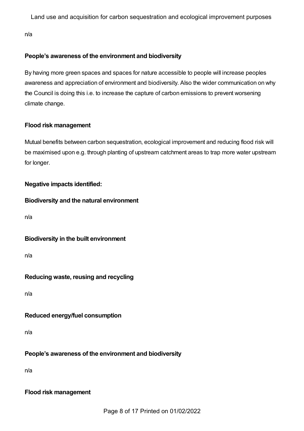n/a

## **People's awareness of the environment and biodiversity**

By having more green spaces and spaces for nature accessible to people will increase peoples awareness and appreciation of environment and biodiversity. Also the wider communication on why the Council is doing this i.e. to increase the capture of carbon emissions to prevent worsening climate change.

## **Flood risk management**

Mutual benefits between carbon sequestration, ecological improvement and reducing flood risk will be maximised upon e.g. through planting of upstream catchment areas to trap more water upstream for longer.

## **Negative impacts identified:**

## **Biodiversity and the natural environment**

n/a

## **Biodiversity in the built environment**

n/a

# **Reducing waste, reusing and recycling**

n/a

# **Reduced energy/fuel consumption**

n/a

# **People's awareness of the environment and biodiversity**

n/a

## **Flood risk management**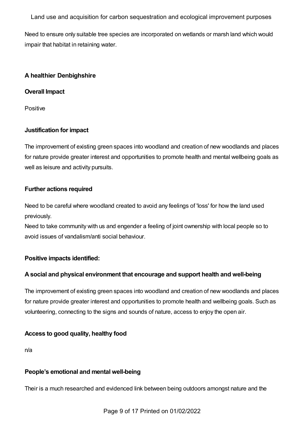Need to ensure only suitable tree species are incorporated on wetlands or marsh land which would impair that habitat in retaining water.

## <span id="page-8-0"></span>**A healthier Denbighshire**

## **Overall Impact**

Positive

## **Justification for impact**

The improvement of existing green spaces into woodland and creation of new woodlands and places for nature provide greater interest and opportunities to promote health and mental wellbeing goals as well as leisure and activity pursuits.

## **Further actions required**

Need to be careful where woodland created to avoid any feelings of 'loss' for how the land used previously.

Need to take community with us and engender a feeling of joint ownership with local people so to avoid issues of vandalism/anti social behaviour.

## **Positive impacts identified:**

## **Asocial and physical environment that encourage and support health and well-being**

The improvement of existing green spaces into woodland and creation of new woodlands and places for nature provide greater interest and opportunities to promote health and wellbeing goals. Such as volunteering, connecting to the signs and sounds of nature, access to enjoy the open air.

## **Access to good quality, healthy food**

n/a

## **People's emotional and mental well-being**

Their is a much researched and evidenced link between being outdoors amongst nature and the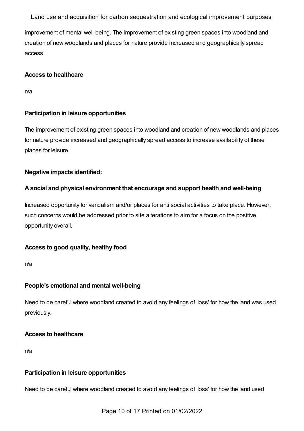improvement of mental well-being. The improvement of existing green spaces into woodland and creation of new woodlands and places for nature provide increased and geographically spread access.

#### **Access to healthcare**

n/a

## **Participation in leisure opportunities**

The improvement of existing green spaces into woodland and creation of new woodlands and places for nature provide increased and geographically spread access to increase availability of these places for leisure.

## **Negative impacts identified:**

## **Asocial and physical environment that encourage and support health and well-being**

Increased opportunity for vandalism and/or places for anti social activities to take place. However, such concerns would be addressed prior to site alterations to aim for a focus on the positive opportunity overall.

## **Access to good quality, healthy food**

n/a

## **People's emotional and mental well-being**

Need to be careful where woodland created to avoid any feelings of 'loss' for how the land was used previously.

#### **Access to healthcare**

n/a

#### **Participation in leisure opportunities**

Need to be careful where woodland created to avoid any feelings of 'loss' for how the land used

Page 10 of 17 Printed on 01/02/2022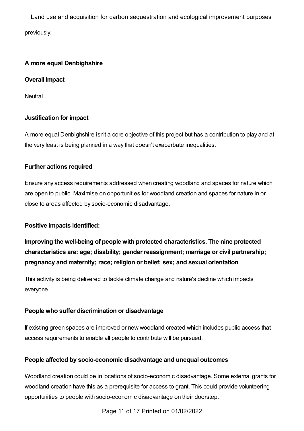## <span id="page-10-0"></span>**A more equal Denbighshire**

**Overall Impact**

**Neutral** 

## **Justification for impact**

A more equal Denbighshire isn't a core objective of this project but has a contribution to play and at the very least is being planned in a way that doesn't exacerbate inequalities.

## **Further actions required**

Ensure any access requirements addressed when creating woodland and spaces for nature which are open to public. Maximise on opportunities for woodland creation and spaces for nature in or close to areas affected by socio-economic disadvantage.

#### **Positive impacts identified:**

**Improving the well-being of people with protected characteristics. The nine protected characteristics are: age; disability; gender reassignment; marriage or civil partnership; pregnancy and maternity; race; religion or belief; sex; and sexual orientation**

This activity is being delivered to tackle climate change and nature's decline which impacts everyone.

#### **People who suffer discrimination or disadvantage**

If existing green spaces are improved or new woodland created which includes public access that access requirements to enable all people to contribute will be pursued.

#### **People affected by socio-economic disadvantage and unequal outcomes**

Woodland creation could be in locations of socio-economic disadvantage. Some external grants for woodland creation have this as a prerequisite for access to grant. This could provide volunteering opportunities to people with socio-economic disadvantage on their doorstep.

Page 11 of 17 Printed on 01/02/2022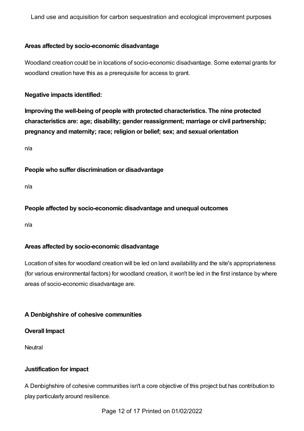## **Areas affected by socio-economic disadvantage**

Woodland creation could be in locations of socio-economic disadvantage. Some external grants for woodland creation have this as a prerequisite for access to grant.

#### **Negative impacts identified:**

**Improving the well-being of people with protected characteristics. The nine protected characteristics are: age; disability; gender reassignment; marriage or civil partnership; pregnancy and maternity; race; religion or belief; sex; and sexual orientation**

n/a

**People who suffer discrimination or disadvantage**

n/a

**People affected by socio-economic disadvantage and unequal outcomes**

n/a

#### **Areas affected by socio-economic disadvantage**

Location of sites for woodland creation will be led on land availability and the site's appropriateness (for various environmental factors) for woodland creation, it won't be led in the first instance by where areas of socio-economic disadvantage are.

## <span id="page-11-0"></span>**A Denbighshire of cohesive communities**

#### **Overall Impact**

**Neutral** 

#### **Justification for impact**

A Denbighshire of cohesive communities isn't a core objective of this project but has contribution to play particularly around resilience.

Page 12 of 17 Printed on 01/02/2022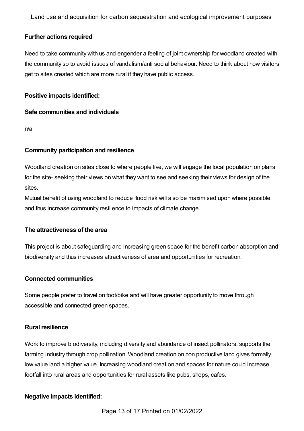#### **Further actions required**

Need to take community with us and engender a feeling of joint ownership for woodland created with the community so to avoid issues of vandalism/anti social behaviour. Need to think about how visitors get to sites created which are more rural if they have public access.

#### **Positive impacts identified:**

#### **Safe communities and individuals**

n/a

## **Community participation and resilience**

Woodland creation on sites close to where people live, we will engage the local population on plans for the site- seeking their views on what they want to see and seeking their views for design of the sites.

Mutual benefit of using woodland to reduce flood risk will also be maximised upon where possible and thus increase community resilience to impacts of climate change.

#### **The attractiveness of the area**

This project is about safeguarding and increasing green space for the benefit carbon absorption and biodiversity and thus increases attractiveness of area and opportunities for recreation.

#### **Connected communities**

Some people prefer to travel on foot/bike and will have greater opportunity to move through accessible and connected green spaces.

#### **Rural resilience**

Work to improve biodiversity, including diversity and abundance of insect pollinators, supports the farming industry through crop pollination. Woodland creation on non productive land gives formally low value land a higher value. Increasing woodland creation and spaces for nature could increase footfall into rural areas and opportunities for rural assets like pubs, shops, cafes.

#### **Negative impacts identified:**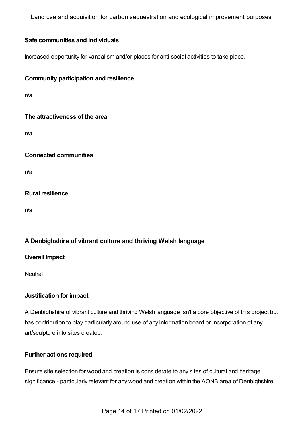## **Safe communities and individuals**

Increased opportunity for vandalism and/or places for anti social activities to take place.

## **Community participation and resilience**

n/a

## **The attractiveness of the area**

n/a

#### **Connected communities**

n/a

## **Rural resilience**

n/a

## <span id="page-13-0"></span>**A Denbighshire of vibrant culture and thriving Welsh language**

#### **Overall Impact**

**Neutral** 

## **Justification for impact**

A Denbighshire of vibrant culture and thriving Welsh language isn't a core objective of this project but has contribution to play particularly around use of any information board or incorporation of any art/sculpture into sites created.

#### **Further actions required**

Ensure site selection for woodland creation is considerate to any sites of cultural and heritage significance - particularly relevant for any woodland creation within the AONB area of Denbighshire.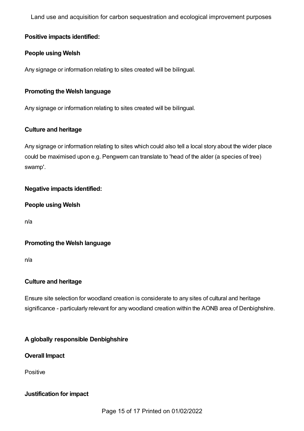## **Positive impacts identified:**

## **People using Welsh**

Any signage or information relating to sites created will be bilingual.

## **Promoting the Welsh language**

Any signage or information relating to sites created will be bilingual.

## **Culture and heritage**

Any signage or information relating to sites which could also tell a local story about the wider place could be maximised upon e.g. Pengwern can translate to 'head of the alder (a species of tree) swamp'.

## **Negative impacts identified:**

## **People using Welsh**

n/a

## **Promoting the Welsh language**

n/a

## **Culture and heritage**

Ensure site selection for woodland creation is considerate to any sites of cultural and heritage significance - particularly relevant for any woodland creation within the AONB area of Denbighshire.

## <span id="page-14-0"></span>**A globally responsible Denbighshire**

#### **Overall Impact**

Positive

## **Justification for impact**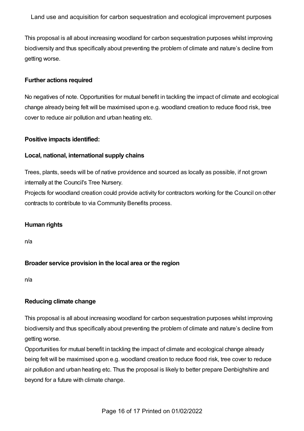This proposal is all about increasing woodland for carbon sequestration purposes whilst improving biodiversity and thus specifically about preventing the problem of climate and nature's decline from getting worse.

## **Further actions required**

No negatives of note. Opportunities for mutual benefit in tackling the impact of climate and ecological change already being felt will be maximised upon e.g. woodland creation to reduce flood risk, tree cover to reduce air pollution and urban heating etc.

#### **Positive impacts identified:**

## **Local, national, international supply chains**

Trees, plants, seeds will be of native providence and sourced as locally as possible, if not grown internally at the Council's Tree Nursery.

Projects for woodland creation could provide activity for contractors working for the Council on other contracts to contribute to via Community Benefits process.

## **Human rights**

n/a

## **Broader service provision in the local area or the region**

n/a

## **Reducing climate change**

This proposal is all about increasing woodland for carbon sequestration purposes whilst improving biodiversity and thus specifically about preventing the problem of climate and nature's decline from getting worse.

Opportunities for mutual benefit in tackling the impact of climate and ecological change already being felt will be maximised upon e.g. woodland creation to reduce flood risk, tree cover to reduce air pollution and urban heating etc. Thus the proposal is likely to better prepare Denbighshire and beyond for a future with climate change.